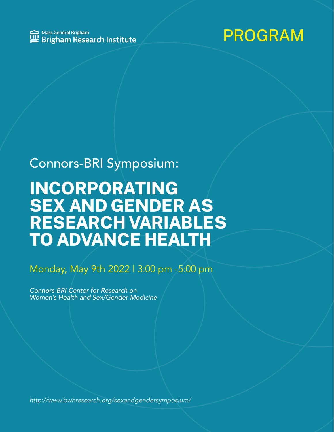

### Connors-BRI Symposium:

### **INCORPORATING SEX AND GENDER AS RESEARCH VARIABLES TO ADVANCE HEALTH**

### Monday, May 9th 2022 | 3:00 pm -5:00 pm

*Connors-BRI Center for Research on Women's Health and Sex/Gender Medicine*

*<http://www.bwhresearch.org/sexandgendersymposium/>*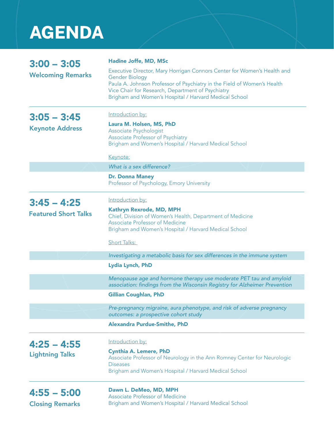# **AGENDA**

| $3:00 - 3:05$<br><b>Welcoming Remarks</b> | Hadine Joffe, MD, MSc                                                                                                                                                                                                            |
|-------------------------------------------|----------------------------------------------------------------------------------------------------------------------------------------------------------------------------------------------------------------------------------|
|                                           | Executive Director, Mary Horrigan Connors Center for Women's Health and<br><b>Gender Biology</b><br>Paula A. Johnson Professor of Psychiatry in the Field of Women's Health<br>Vice Chair for Research, Department of Psychiatry |
|                                           | Brigham and Women's Hospital / Harvard Medical School                                                                                                                                                                            |
| $3:05 - 3:45$<br><b>Keynote Address</b>   | Introduction by:                                                                                                                                                                                                                 |
|                                           | Laura M. Holsen, MS, PhD<br>Associate Psychologist<br>Associate Professor of Psychiatry<br>Brigham and Women's Hospital / Harvard Medical School                                                                                 |
|                                           | Keynote:                                                                                                                                                                                                                         |
|                                           | What is a sex difference?                                                                                                                                                                                                        |
|                                           | <b>Dr. Donna Maney</b><br>Professor of Psychology, Emory University                                                                                                                                                              |
| $3:45 - 4:25$                             | Introduction by:                                                                                                                                                                                                                 |
| <b>Featured Short Talks</b>               | Kathryn Rexrode, MD, MPH                                                                                                                                                                                                         |
|                                           | Chief, Division of Women's Health, Department of Medicine<br><b>Associate Professor of Medicine</b>                                                                                                                              |
|                                           | Brigham and Women's Hospital / Harvard Medical School                                                                                                                                                                            |
|                                           | <b>Short Talks:</b>                                                                                                                                                                                                              |
|                                           | Investigating a metabolic basis for sex differences in the immune system                                                                                                                                                         |
|                                           | <b>Lydia Lynch, PhD</b>                                                                                                                                                                                                          |
|                                           | Menopause age and hormone therapy use moderate PET tau and amyloid<br>association: findings from the Wisconsin Registry for Alzheimer Prevention                                                                                 |
|                                           | <b>Gillian Coughlan, PhD</b>                                                                                                                                                                                                     |
|                                           | Pre-pregnancy migraine, aura phenotype, and risk of adverse pregnancy<br>outcomes: a prospective cohort study                                                                                                                    |
|                                           | <b>Alexandra Purdue-Smithe, PhD</b>                                                                                                                                                                                              |
| $4:25 - 4:55$                             | Introduction by:                                                                                                                                                                                                                 |
| <b>Lightning Talks</b>                    | <b>Cynthia A. Lemere, PhD</b>                                                                                                                                                                                                    |
|                                           | Associate Professor of Neurology in the Ann Romney Center for Neurologic<br><b>Diseases</b>                                                                                                                                      |
|                                           | Brigham and Women's Hospital / Harvard Medical School                                                                                                                                                                            |
| $4:55 - 5:00$                             | Dawn L. DeMeo, MD, MPH                                                                                                                                                                                                           |
|                                           | <b>Associate Professor of Medicine</b><br>Brigham and Women's Hospital / Harvard Medical School                                                                                                                                  |
| <b>Closing Remarks</b>                    |                                                                                                                                                                                                                                  |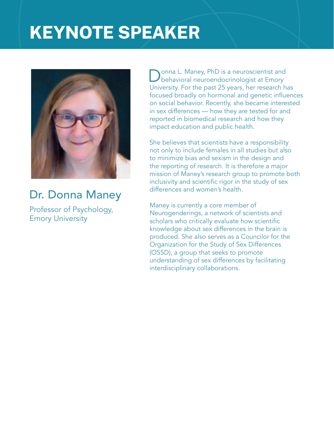## **KEYNOTE SPEAKER**



### Dr. Donna Maney

Professor of Psychology, Emory University

onna L. Maney, PhD is a neuroscientist and behavioral neuroendocrinologist at Emory University. For the past 25 years, her research has focused broadly on hormonal and genetic influences on social behavior. Recently, she became interested in sex differences — how they are tested for and reported in biomedical research and how they impact education and public health.

She believes that scientists have a responsibility not only to include females in all studies but also to minimize bias and sexism in the design and the reporting of research. It is therefore a major mission of Maney's research group to promote both inclusivity and scientific rigor in the study of sex differences and women's health.

Maney is currently a core member of Neurogenderings, a network of scientists and scholars who critically evaluate how scientific knowledge about sex differences in the brain is produced. She also serves as a Councilor for the Organization for the Study of Sex Differences (OSSD), a group that seeks to promote understanding of sex differences by facilitating interdisciplinary collaborations.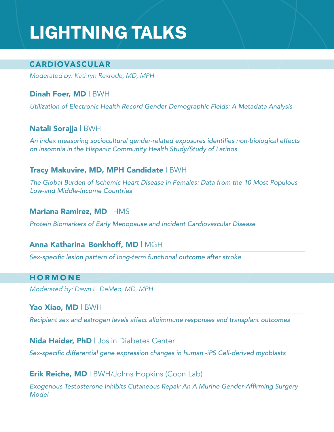## **LIGHTNING TALKS**

#### CARDIOVASCULAR

*Moderated by: Kathryn Rexrode, MD, MPH*

#### Dinah Foer, MD | BWH

Utilization of Electronic Health Record Gender Demographic Fields: A Metadata Analysis

#### Natali Sorajja | BWH

An index measuring sociocultural gender-related exposures identifies non-biological effects *on insomnia in the Hispanic Community Health Study/Study of Latinos*

#### Tracy Makuvire, MD, MPH Candidate | BWH

The Global Burden of Ischemic Heart Disease in Females: Data from the 10 Most Populous *Low-and Middle-Income Countries*

#### Mariana Ramirez, MD | HMS

*Protein Biomarkers of Early Menopause and Incident Cardiovascular Disease*

#### Anna Katharina Bonkhoff, MD | MGH

Sex-specific lesion pattern of long-term functional outcome after stroke

#### **HORMONE**

*Moderated by: Dawn L. DeMeo, MD, MPH*

#### Yao Xiao, MD | BWH

*Recipient sex and estrogen levels affect alloimmune responses and transplant outcomes*

#### **Nida Haider, PhD** | Joslin Diabetes Center

Sex-specific differential gene expression changes in human -iPS Cell-derived myoblasts

#### Erik Reiche, MD | BWH/Johns Hopkins (Coon Lab)

Exogenous Testosterone Inhibits Cutaneous Repair An A Murine Gender-Affirming Surgery *Model*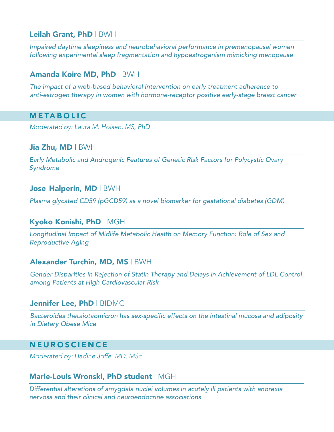#### Leilah Grant, PhD | BWH

*Impaired daytime sleepiness and neurobehavioral performance in premenopausal women following experimental sleep fragmentation and hypoestrogenism mimicking menopause*

#### Amanda Koire MD, PhD | BWH

*The impact of a web-based behavioral intervention on early treatment adherence to anti-estrogen therapy in women with hormone-receptor positive early-stage breast cancer*

#### METABOLIC

*Moderated by: Laura M. Holsen, MS, PhD*

#### Jia Zhu, MD | BWH

Early Metabolic and Androgenic Features of Genetic Risk Factors for Polycystic Ovary *Syndrome*

#### Jose Halperin, MD | BWH

*Plasma glycated CD59 (pGCD59) as a novel biomarker for gestational diabetes (GDM)*

#### Kyoko Konishi, PhD | MGH

Longitudinal Impact of Midlife Metabolic Health on Memory Function: Role of Sex and Reproductive Aging

#### Alexander Turchin, MD, MS | BWH

Gender Disparities in Rejection of Statin Therapy and Delays in Achievement of LDL Control *among Patients at High Cardiovascular Risk*

#### Jennifer Lee, PhD | BIDMC

Bacteroides thetaiotaomicron has sex-specific effects on the intestinal mucosa and adiposity in Dietary Obese Mice

#### **NEUROSCIENCE**

*Moderated by: Hadine Joffe, MD, MSc*

#### Marie-Louis Wronski, PhD student | MGH

*Differential alterations of amygdala nuclei volumes in acutely ill patients with anorexia nervosa and their clinical and neuroendocrine associations*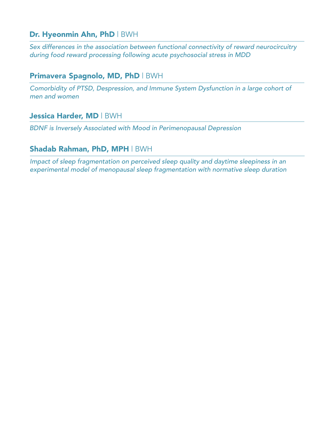#### Dr. Hyeonmin Ahn, PhD | BWH

*Sex differences in the association between functional connectivity of reward neurocircuitry during food reward processing following acute psychosocial stress in MDD*

#### Primavera Spagnolo, MD, PhD | BWH

*Comorbidity of PTSD, Despression, and Immune System Dysfunction in a large cohort of men and women*

#### Jessica Harder, MD | BWH

BDNF is Inversely Associated with Mood in Perimenopausal Depression

#### Shadab Rahman, PhD, MPH | BWH

*Impact of sleep fragmentation on perceived sleep quality and daytime sleepiness in an experimental model of menopausal sleep fragmentation with normative sleep duration*